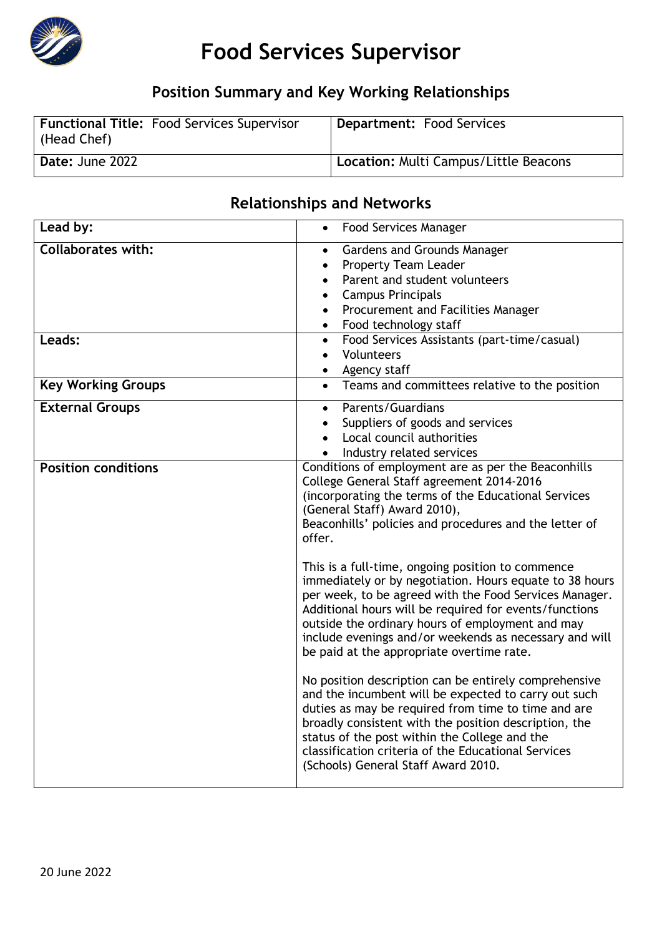

# **Food Services Supervisor**

# **Position Summary and Key Working Relationships**

| Functional Title: Food Services Supervisor<br>(Head Chef) | <b>Department: Food Services</b>      |
|-----------------------------------------------------------|---------------------------------------|
| Date: June 2022                                           | Location: Multi Campus/Little Beacons |

## **Relationships and Networks**

| Lead by:                   | <b>Food Services Manager</b><br>$\bullet$                                                                                                                                                                                                                                                                                                                                                                                                                                                        |  |
|----------------------------|--------------------------------------------------------------------------------------------------------------------------------------------------------------------------------------------------------------------------------------------------------------------------------------------------------------------------------------------------------------------------------------------------------------------------------------------------------------------------------------------------|--|
| <b>Collaborates with:</b>  | Gardens and Grounds Manager<br>$\bullet$                                                                                                                                                                                                                                                                                                                                                                                                                                                         |  |
|                            | <b>Property Team Leader</b><br>$\bullet$                                                                                                                                                                                                                                                                                                                                                                                                                                                         |  |
|                            | Parent and student volunteers                                                                                                                                                                                                                                                                                                                                                                                                                                                                    |  |
|                            | <b>Campus Principals</b><br>$\bullet$                                                                                                                                                                                                                                                                                                                                                                                                                                                            |  |
|                            | Procurement and Facilities Manager                                                                                                                                                                                                                                                                                                                                                                                                                                                               |  |
|                            | Food technology staff<br>$\bullet$                                                                                                                                                                                                                                                                                                                                                                                                                                                               |  |
| Leads:                     | Food Services Assistants (part-time/casual)<br>$\bullet$                                                                                                                                                                                                                                                                                                                                                                                                                                         |  |
|                            | Volunteers<br>$\bullet$                                                                                                                                                                                                                                                                                                                                                                                                                                                                          |  |
|                            | Agency staff<br>$\bullet$                                                                                                                                                                                                                                                                                                                                                                                                                                                                        |  |
| <b>Key Working Groups</b>  | Teams and committees relative to the position<br>$\bullet$                                                                                                                                                                                                                                                                                                                                                                                                                                       |  |
| <b>External Groups</b>     | Parents/Guardians<br>$\bullet$                                                                                                                                                                                                                                                                                                                                                                                                                                                                   |  |
|                            | Suppliers of goods and services<br>$\bullet$                                                                                                                                                                                                                                                                                                                                                                                                                                                     |  |
|                            | Local council authorities                                                                                                                                                                                                                                                                                                                                                                                                                                                                        |  |
|                            | Industry related services                                                                                                                                                                                                                                                                                                                                                                                                                                                                        |  |
| <b>Position conditions</b> | Conditions of employment are as per the Beaconhills<br>College General Staff agreement 2014-2016<br>(incorporating the terms of the Educational Services<br>(General Staff) Award 2010),<br>Beaconhills' policies and procedures and the letter of<br>offer.<br>This is a full-time, ongoing position to commence<br>immediately or by negotiation. Hours equate to 38 hours<br>per week, to be agreed with the Food Services Manager.<br>Additional hours will be required for events/functions |  |
|                            | outside the ordinary hours of employment and may<br>include evenings and/or weekends as necessary and will<br>be paid at the appropriate overtime rate.                                                                                                                                                                                                                                                                                                                                          |  |
|                            | No position description can be entirely comprehensive<br>and the incumbent will be expected to carry out such<br>duties as may be required from time to time and are<br>broadly consistent with the position description, the<br>status of the post within the College and the<br>classification criteria of the Educational Services<br>(Schools) General Staff Award 2010.                                                                                                                     |  |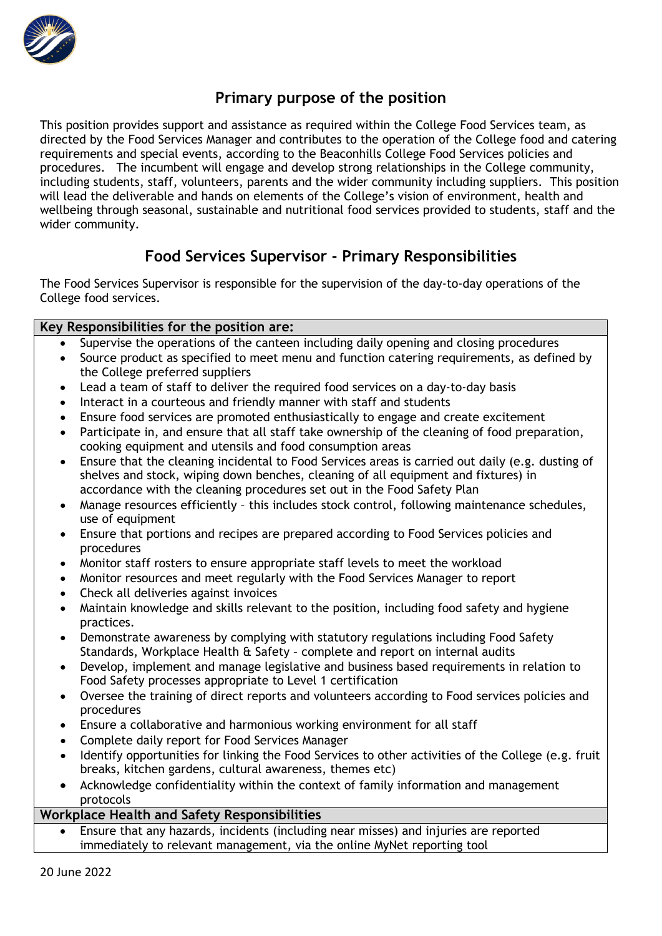

### **Primary purpose of the position**

This position provides support and assistance as required within the College Food Services team, as directed by the Food Services Manager and contributes to the operation of the College food and catering requirements and special events, according to the Beaconhills College Food Services policies and procedures. The incumbent will engage and develop strong relationships in the College community, including students, staff, volunteers, parents and the wider community including suppliers. This position will lead the deliverable and hands on elements of the College's vision of environment, health and wellbeing through seasonal, sustainable and nutritional food services provided to students, staff and the wider community.

### **Food Services Supervisor - Primary Responsibilities**

The Food Services Supervisor is responsible for the supervision of the day-to-day operations of the College food services.

#### **Key Responsibilities for the position are:**

- Supervise the operations of the canteen including daily opening and closing procedures
- Source product as specified to meet menu and function catering requirements, as defined by the College preferred suppliers
- Lead a team of staff to deliver the required food services on a day-to-day basis
- Interact in a courteous and friendly manner with staff and students
- Ensure food services are promoted enthusiastically to engage and create excitement
- Participate in, and ensure that all staff take ownership of the cleaning of food preparation, cooking equipment and utensils and food consumption areas
- Ensure that the cleaning incidental to Food Services areas is carried out daily (e.g. dusting of shelves and stock, wiping down benches, cleaning of all equipment and fixtures) in accordance with the cleaning procedures set out in the Food Safety Plan
- Manage resources efficiently this includes stock control, following maintenance schedules. use of equipment
- Ensure that portions and recipes are prepared according to Food Services policies and procedures
- Monitor staff rosters to ensure appropriate staff levels to meet the workload
- Monitor resources and meet regularly with the Food Services Manager to report
- Check all deliveries against invoices
- Maintain knowledge and skills relevant to the position, including food safety and hygiene practices.
- Demonstrate awareness by complying with statutory regulations including Food Safety Standards, Workplace Health & Safety – complete and report on internal audits
- Develop, implement and manage legislative and business based requirements in relation to Food Safety processes appropriate to Level 1 certification
- Oversee the training of direct reports and volunteers according to Food services policies and procedures
- Ensure a collaborative and harmonious working environment for all staff
- Complete daily report for Food Services Manager
- Identify opportunities for linking the Food Services to other activities of the College (e.g. fruit breaks, kitchen gardens, cultural awareness, themes etc)
- Acknowledge confidentiality within the context of family information and management protocols

#### **Workplace Health and Safety Responsibilities**

• Ensure that any hazards, incidents (including near misses) and injuries are reported immediately to relevant management, via the online MyNet reporting tool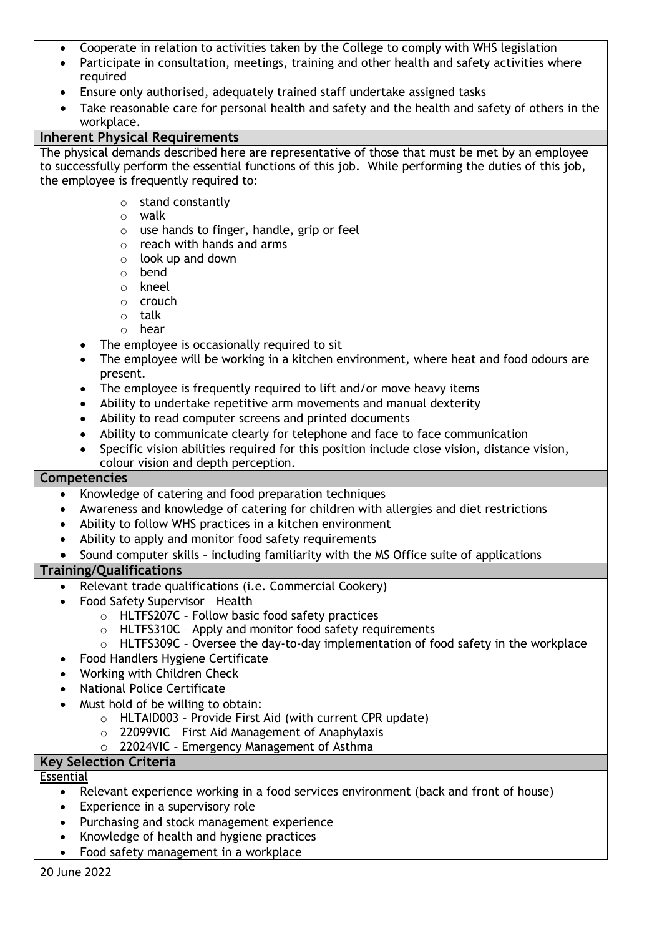- Cooperate in relation to activities taken by the College to comply with WHS legislation
- Participate in consultation, meetings, training and other health and safety activities where required
- Ensure only authorised, adequately trained staff undertake assigned tasks
- Take reasonable care for personal health and safety and the health and safety of others in the workplace.

#### **Inherent Physical Requirements**

The physical demands described here are representative of those that must be met by an employee to successfully perform the essential functions of this job. While performing the duties of this job, the employee is frequently required to:

- o stand constantly
- o walk
- $\circ$  use hands to finger, handle, grip or feel
- o reach with hands and arms
- $\circ$  look up and down
- o bend
- o kneel
- o crouch
- o talk
- o hear
- The employee is occasionally required to sit
- The employee will be working in a kitchen environment, where heat and food odours are present.
- The employee is frequently required to lift and/or move heavy items
- Ability to undertake repetitive arm movements and manual dexterity
- Ability to read computer screens and printed documents
- Ability to communicate clearly for telephone and face to face communication
- Specific vision abilities required for this position include close vision, distance vision, colour vision and depth perception.

#### **Competencies**

- Knowledge of catering and food preparation techniques
- Awareness and knowledge of catering for children with allergies and diet restrictions
- Ability to follow WHS practices in a kitchen environment
- Ability to apply and monitor food safety requirements
- Sound computer skills including familiarity with the MS Office suite of applications

#### **Training/Qualifications**

- Relevant trade qualifications (i.e. Commercial Cookery)
- Food Safety Supervisor Health
	- o HLTFS207C Follow basic food safety practices
	- o HLTFS310C Apply and monitor food safety requirements
	- o HLTFS309C Oversee the day-to-day implementation of food safety in the workplace
	- Food Handlers Hygiene Certificate
- Working with Children Check
- National Police Certificate
- Must hold of be willing to obtain:
	- o HLTAID003 Provide First Aid (with current CPR update)
	- o 22099VIC First Aid Management of Anaphylaxis
	- o 22024VIC Emergency Management of Asthma

#### **Key Selection Criteria**

Essential

- Relevant experience working in a food services environment (back and front of house)
- Experience in a supervisory role
- Purchasing and stock management experience
- Knowledge of health and hygiene practices
- Food safety management in a workplace